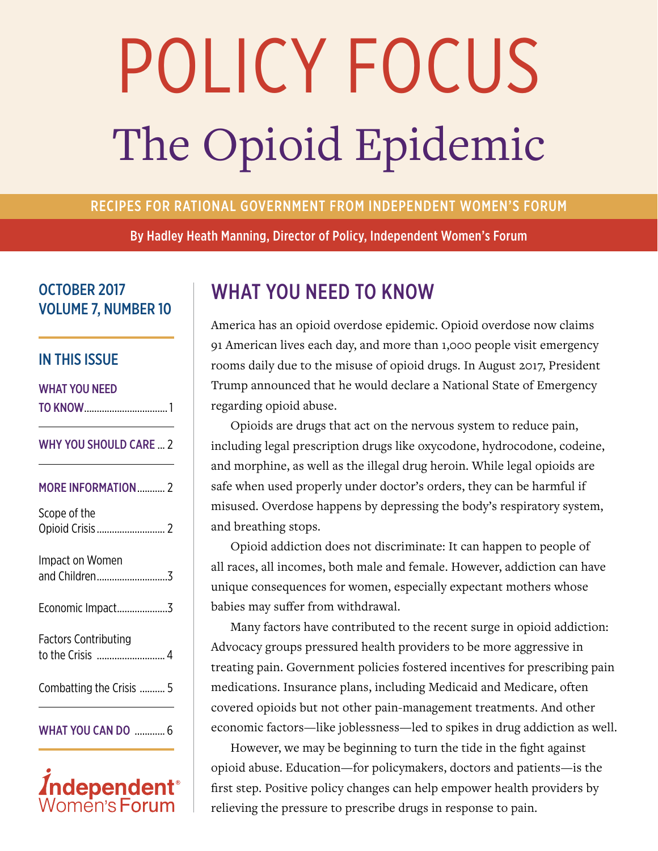# The Opioid Epidemic POLICY FOCUS

#### RECIPES FOR RATIONAL GOVERNMENT FROM INDEPENDENT WOMEN'S FORUM

By Hadley Heath Manning, Director of Policy, Independent Women's Forum

#### OCTOBER 2017 VOLUME 7, NUMBER 10

#### IN THIS ISSUE

#### WHAT YOU NEED TO KNOW................................. 1

#### WHY YOU SHOULD CARE ... 2

| <b>MORE INFORMATION 2</b>   |
|-----------------------------|
| Scope of the                |
| Impact on Women             |
| Economic Impact3            |
| <b>Factors Contributing</b> |
| Combatting the Crisis  5    |
| <b>WHAT YOU CAN DO  6</b>   |



# WHAT YOU NEED TO KNOW

America has an opioid overdose epidemic. Opioid overdose now claims 91 American lives each day, and more than 1,000 people visit emergency rooms daily due to the misuse of opioid drugs. In August 2017, President Trump announced that he would declare a National State of Emergency regarding opioid abuse.

Opioids are drugs that act on the nervous system to reduce pain, including legal prescription drugs like oxycodone, hydrocodone, codeine, and morphine, as well as the illegal drug heroin. While legal opioids are safe when used properly under doctor's orders, they can be harmful if misused. Overdose happens by depressing the body's respiratory system, and breathing stops.

Opioid addiction does not discriminate: It can happen to people of all races, all incomes, both male and female. However, addiction can have unique consequences for women, especially expectant mothers whose babies may suffer from withdrawal.

Many factors have contributed to the recent surge in opioid addiction: Advocacy groups pressured health providers to be more aggressive in treating pain. Government policies fostered incentives for prescribing pain medications. Insurance plans, including Medicaid and Medicare, often covered opioids but not other pain-management treatments. And other economic factors—like joblessness—led to spikes in drug addiction as well.

However, we may be beginning to turn the tide in the fight against opioid abuse. Education—for policymakers, doctors and patients—is the first step. Positive policy changes can help empower health providers by relieving the pressure to prescribe drugs in response to pain.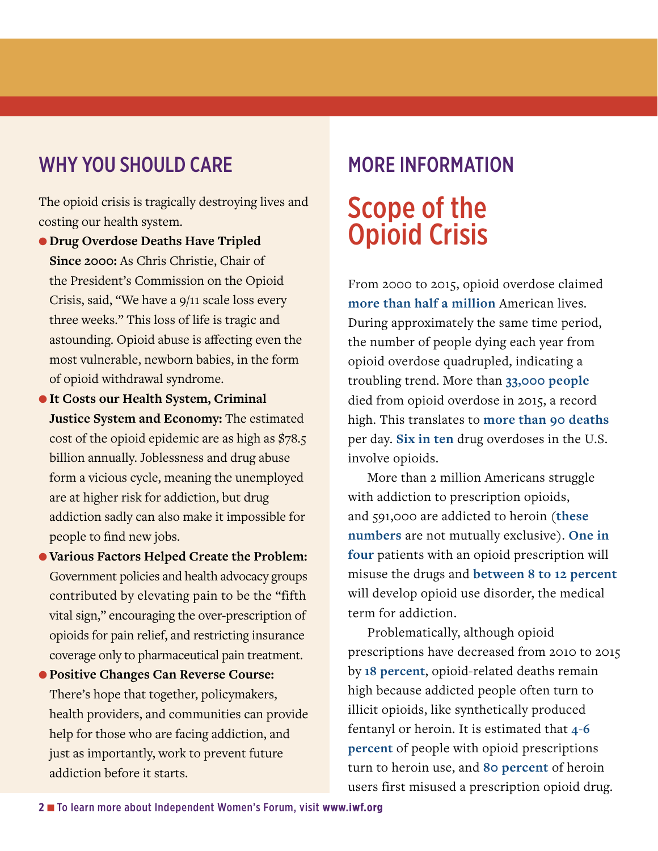# WHY YOU SHOULD CARE

The opioid crisis is tragically destroying lives and costing our health system.

- l **Drug Overdose Deaths Have Tripled Since 2000:** As Chris Christie, Chair of the President's Commission on the Opioid Crisis, said, "We have a 9/11 scale loss every three weeks." This loss of life is tragic and astounding. Opioid abuse is affecting even the most vulnerable, newborn babies, in the form of opioid withdrawal syndrome.
- **It Costs our Health System, Criminal Justice System and Economy:** The estimated cost of the opioid epidemic are as high as \$78.5 billion annually. Joblessness and drug abuse form a vicious cycle, meaning the unemployed are at higher risk for addiction, but drug addiction sadly can also make it impossible for people to find new jobs.
- l **Various Factors Helped Create the Problem:** Government policies and health advocacy groups contributed by elevating pain to be the "fifth vital sign," encouraging the over-prescription of opioids for pain relief, and restricting insurance coverage only to pharmaceutical pain treatment.
- l **Positive Changes Can Reverse Course:** There's hope that together, policymakers, health providers, and communities can provide help for those who are facing addiction, and just as importantly, work to prevent future addiction before it starts.

# MORE INFORMATION Scope of the Opioid Crisis

From 2000 to 2015, opioid overdose claimed **[more than half a million](https://www.cdc.gov/drugoverdose/epidemic/index.html)** American lives. During approximately the same time period, the number of people dying each year from opioid overdose quadrupled, indicating a troubling trend. More than **[33,000 people](https://www.cdc.gov/drugoverdose/epidemic/index.html)** died from opioid overdose in 2015, a record high. This translates to **[more than 90 deaths](https://www.cdc.gov/drugoverdose/epidemic/index.html)** per day. **[Six in ten](https://www.cdc.gov/drugoverdose/epidemic/index.html)** drug overdoses in the U.S. involve opioids.

More than 2 million Americans struggle with addiction to prescription opioids, and 591,000 are addicted to heroin (**[these](https://www.drugabuse.gov/drugs-abuse/opioids/opioid-crisis)  [numbers](https://www.drugabuse.gov/drugs-abuse/opioids/opioid-crisis)** are not mutually exclusive). **[One in](https://www.drugabuse.gov/drugs-abuse/opioids/opioid-crisis)  [four](https://www.drugabuse.gov/drugs-abuse/opioids/opioid-crisis)** patients with an opioid prescription will misuse the drugs and **[between 8 to 12 percent](https://www.drugabuse.gov/drugs-abuse/opioids/opioid-crisis)** will develop opioid use disorder, the medical term for addiction.

Problematically, although opioid prescriptions have decreased from 2010 to 2015 by **[18 percent](https://www.nytimes.com/2017/07/06/health/opioid-painkillers-prescriptions-united-states.html)**, opioid-related deaths remain high because addicted people often turn to illicit opioids, like synthetically produced fentanyl or heroin. It is estimated that **[4-6](https://www.drugabuse.gov/drugs-abuse/opioids/opioid-crisis)  [percent](https://www.drugabuse.gov/drugs-abuse/opioids/opioid-crisis)** of people with opioid prescriptions turn to heroin use, and **[80 percent](https://www.drugabuse.gov/drugs-abuse/opioids/opioid-crisis)** of heroin users first misused a prescription opioid drug.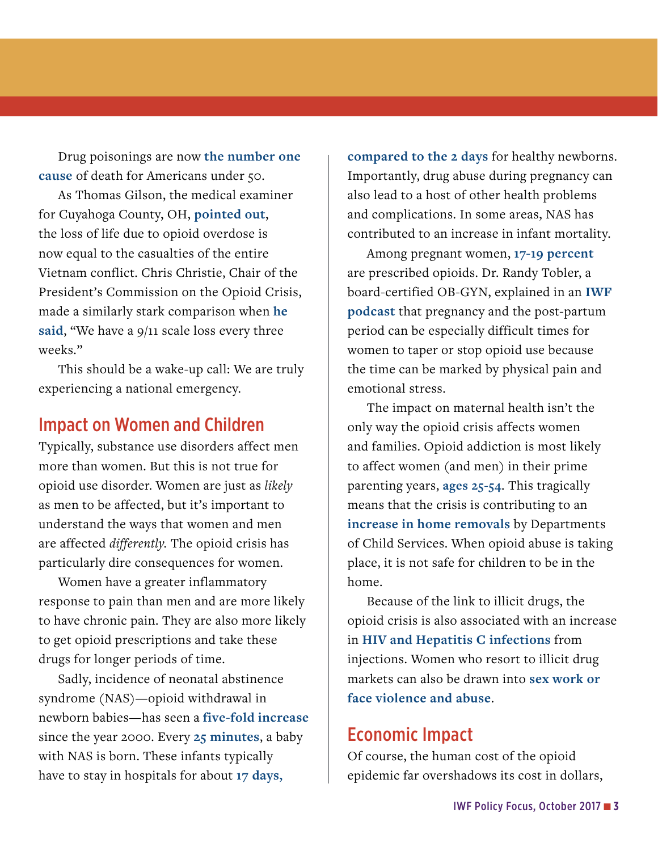Drug poisonings are now **[the number one](https://www.cbsnews.com/news/overdoses-are-leading-cause-of-death-americans-under-50/)  [cause](https://www.cbsnews.com/news/overdoses-are-leading-cause-of-death-americans-under-50/)** of death for Americans under 50.

As Thomas Gilson, the medical examiner for Cuyahoga County, OH, **[pointed out](https://www.cbsnews.com/news/overdoses-are-leading-cause-of-death-americans-under-50/)**, the loss of life due to opioid overdose is now equal to the casualties of the entire Vietnam conflict. Chris Christie, Chair of the President's Commission on the Opioid Crisis, made a similarly stark comparison when **[he](https://www.cnsnews.com/news/article/melanie-arter/christie-drug-epidemic-we-have-911-scale-loss-life-every-3-weeks)**  [said](https://www.cnsnews.com/news/article/melanie-arter/christie-drug-epidemic-we-have-911-scale-loss-life-every-3-weeks), "We have a 9/11 scale loss every three weeks."

This should be a wake-up call: We are truly experiencing a national emergency.

#### Impact on Women and Children

Typically, substance use disorders affect men more than women. But this is not true for opioid use disorder. Women are just as *likely*  as men to be affected, but it's important to understand the ways that women and men are affected *differently.* The opioid crisis has particularly dire consequences for women.

Women have a greater inflammatory response to pain than men and are more likely to have chronic pain. They are also more likely to get opioid prescriptions and take these drugs for longer periods of time.

Sadly, incidence of neonatal abstinence syndrome (NAS)—opioid withdrawal in newborn babies—has seen a **[five-fold increase](https://www.drugabuse.gov/related-topics/trends-statistics/infographics/dramatic-increases-in-maternal-opioid-use-neonatal-abstinence-syndrome)** since the year 2000. Every **[25 minutes](https://www.drugabuse.gov/related-topics/trends-statistics/infographics/dramatic-increases-in-maternal-opioid-use-neonatal-abstinence-syndrome)**, a baby with NAS is born. These infants typically have to stay in hospitals for about **[17 days,](https://www.drugabuse.gov/related-topics/trends-statistics/infographics/dramatic-increases-in-maternal-opioid-use-neonatal-abstinence-syndrome)** 

**[compared to the 2 days](https://www.drugabuse.gov/related-topics/trends-statistics/infographics/dramatic-increases-in-maternal-opioid-use-neonatal-abstinence-syndrome)** for healthy newborns. Importantly, drug abuse during pregnancy can also lead to a host of other health problems and complications. In some areas, NAS has contributed to an increase in infant mortality.

Among pregnant women, **[17-19 percent](https://www.youtube.com/watch?v=joccZ96V1k8&feature=youtu.be)** are prescribed opioids. Dr. Randy Tobler, a board-certified OB-GYN, explained in an **[IWF](https://soundcloud.com/independent-womens-forum/hhm-tobler-opioidcrisis)  [podcast](https://soundcloud.com/independent-womens-forum/hhm-tobler-opioidcrisis)** that pregnancy and the post-partum period can be especially difficult times for women to taper or stop opioid use because the time can be marked by physical pain and emotional stress.

The impact on maternal health isn't the only way the opioid crisis affects women and families. Opioid addiction is most likely to affect women (and men) in their prime parenting years, **[ages 25-54](https://www.cdc.gov/drugoverdose/data/overdose.html)**. This tragically means that the crisis is contributing to an **[increase in home removals](http://www.womenspolicy.org/wp-content/uploads/2017/08/WCPI-7.12.17-Briefing-Summary-FINAL.pdf)** by Departments of Child Services. When opioid abuse is taking place, it is not safe for children to be in the home.

Because of the link to illicit drugs, the opioid crisis is also associated with an increase in **[HIV and Hepatitis C infections](http://www.cnn.com/2017/05/11/health/hepatitis-c-rates-cdc-study/index.html)** from injections. Women who resort to illicit drug markets can also be drawn into **[sex work or](http://www.womenspolicy.org/wp-content/uploads/2017/08/WCPI-7.12.17-Briefing-Summary-FINAL.pdf)  [face violence and abuse](http://www.womenspolicy.org/wp-content/uploads/2017/08/WCPI-7.12.17-Briefing-Summary-FINAL.pdf)**.

#### Economic Impact

Of course, the human cost of the opioid epidemic far overshadows its cost in dollars,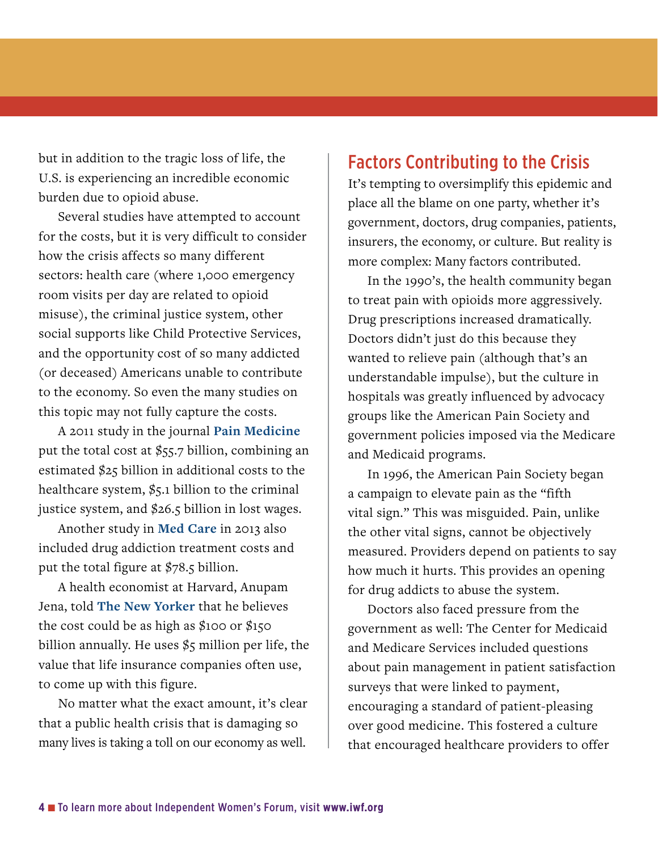but in addition to the tragic loss of life, the U.S. is experiencing an incredible economic burden due to opioid abuse.

Several studies have attempted to account for the costs, but it is very difficult to consider how the crisis affects so many different sectors: health care (where 1,000 emergency room visits per day are related to opioid misuse), the criminal justice system, other social supports like Child Protective Services, and the opportunity cost of so many addicted (or deceased) Americans unable to contribute to the economy. So even the many studies on this topic may not fully capture the costs.

A 2011 study in the journal **[Pain Medicine](https://www.asam.org/docs/advocacy/societal-costs-of-prescription-opioid-abuse-dependence-and-misuse-in-the-united-states.pdf)** put the total cost at  $$55.7$  billion, combining an estimated \$25 billion in additional costs to the healthcare system,  $\frac{6}{5}$ . billion to the criminal justice system, and \$26.5 billion in lost wages.

Another study in **[Med Care](https://www.ncbi.nlm.nih.gov/pubmed/27623005)** in 2013 also included drug addiction treatment costs and put the total figure at \$78.5 billion.

A health economist at Harvard, Anupam Jena, told **[The New Yorker](https://www.newyorker.com/magazine/2017/09/18/the-cost-of-the-opioid-crisis)** that he believes the cost could be as high as \$100 or \$150 billion annually. He uses  $\frac{6}{5}$  million per life, the value that life insurance companies often use, to come up with this figure.

No matter what the exact amount, it's clear that a public health crisis that is damaging so many lives is taking a toll on our economy as well.

#### Factors Contributing to the Crisis

It's tempting to oversimplify this epidemic and place all the blame on one party, whether it's government, doctors, drug companies, patients, insurers, the economy, or culture. But reality is more complex: Many factors contributed.

In the 1990's, the health community began to treat pain with opioids more aggressively. Drug prescriptions increased dramatically. Doctors didn't just do this because they wanted to relieve pain (although that's an understandable impulse), but the culture in hospitals was greatly influenced by advocacy groups like the American Pain Society and government policies imposed via the Medicare and Medicaid programs.

In 1996, the American Pain Society began a campaign to elevate pain as the "fifth vital sign." This was misguided. Pain, unlike the other vital signs, cannot be objectively measured. Providers depend on patients to say how much it hurts. This provides an opening for drug addicts to abuse the system.

Doctors also faced pressure from the government as well: The Center for Medicaid and Medicare Services included questions about pain management in patient satisfaction surveys that were linked to payment, encouraging a standard of patient-pleasing over good medicine. This fostered a culture that encouraged healthcare providers to offer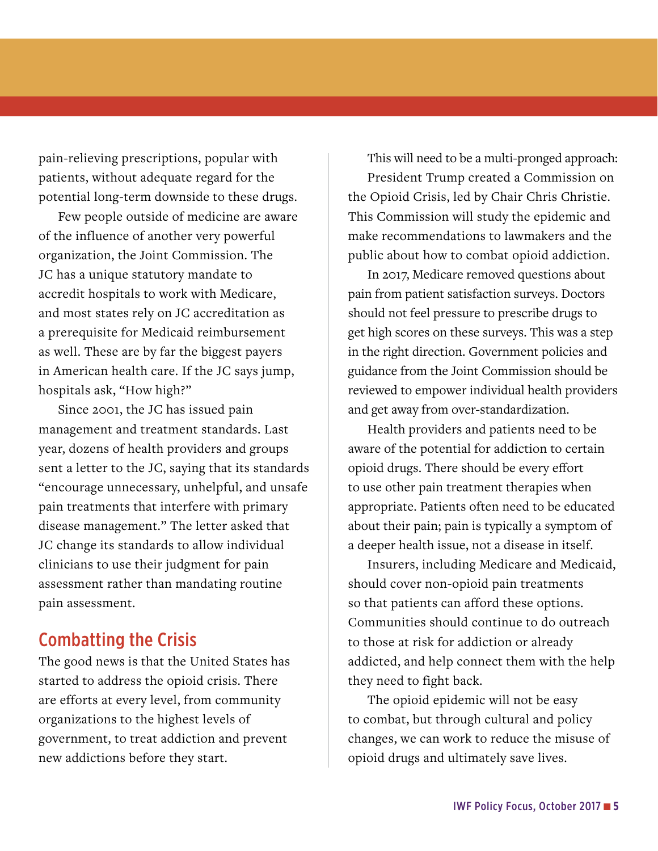pain-relieving prescriptions, popular with patients, without adequate regard for the potential long-term downside to these drugs.

Few people outside of medicine are aware of the influence of another very powerful organization, the Joint Commission. The JC has a unique statutory mandate to accredit hospitals to work with Medicare, and most states rely on JC accreditation as a prerequisite for Medicaid reimbursement as well. These are by far the biggest payers in American health care. If the JC says jump, hospitals ask, "How high?"

Since 2001, the JC has issued pain management and treatment standards. Last year, dozens of health providers and groups sent a letter to the JC, saying that its standards "encourage unnecessary, unhelpful, and unsafe pain treatments that interfere with primary disease management." The letter asked that JC change its standards to allow individual clinicians to use their judgment for pain assessment rather than mandating routine pain assessment.

#### Combatting the Crisis

The good news is that the United States has started to address the opioid crisis. There are efforts at every level, from community organizations to the highest levels of government, to treat addiction and prevent new addictions before they start.

This will need to be a multi-pronged approach:

President Trump created a Commission on the Opioid Crisis, led by Chair Chris Christie. This Commission will study the epidemic and make recommendations to lawmakers and the public about how to combat opioid addiction.

In 2017, Medicare removed questions about pain from patient satisfaction surveys. Doctors should not feel pressure to prescribe drugs to get high scores on these surveys. This was a step in the right direction. Government policies and guidance from the Joint Commission should be reviewed to empower individual health providers and get away from over-standardization.

Health providers and patients need to be aware of the potential for addiction to certain opioid drugs. There should be every effort to use other pain treatment therapies when appropriate. Patients often need to be educated about their pain; pain is typically a symptom of a deeper health issue, not a disease in itself.

Insurers, including Medicare and Medicaid, should cover non-opioid pain treatments so that patients can afford these options. Communities should continue to do outreach to those at risk for addiction or already addicted, and help connect them with the help they need to fight back.

The opioid epidemic will not be easy to combat, but through cultural and policy changes, we can work to reduce the misuse of opioid drugs and ultimately save lives.